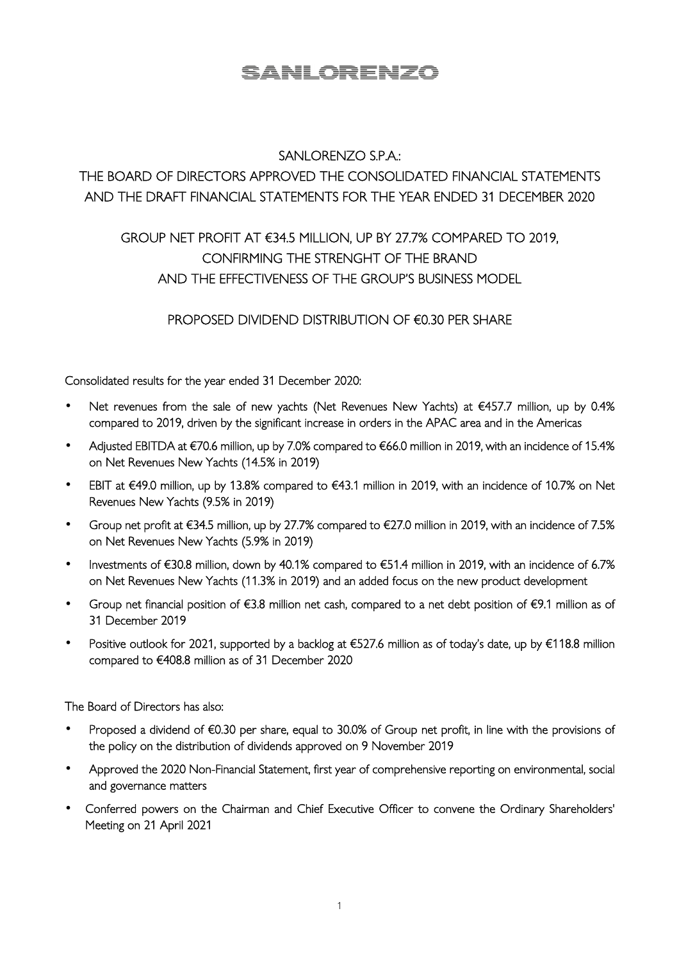# SANLORENZO

# SANLORENZO S.P.A.:

# THE BOARD OF DIRECTORS APPROVED THE CONSOLIDATED FINANCIAL STATEMENTS AND THE DRAFT FINANCIAL STATEMENTS FOR THE YEAR ENDED 31 DECEMBER 2020

# GROUP NET PROFIT AT €34.5 MILLION, UP BY 27.7% COMPARED TO 2019, CONFIRMING THE STRENGHT OF THE BRAND AND THE EFFECTIVENESS OF THE GROUP'S BUSINESS MODEL

## PROPOSED DIVIDEND DISTRIBUTION OF €0.30 PER SHARE

Consolidated results for the year ended 31 December 2020:

- Net revenues from the sale of new yachts (Net Revenues New Yachts) at €457.7 million, up by 0.4% compared to 2019, driven by the significant increase in orders in the APAC area and in the Americas
- Adjusted EBITDA at €70.6 million, up by 7.0% compared to €66.0 million in 2019, with an incidence of 15.4% on Net Revenues New Yachts (14.5% in 2019)
- EBIT at €49.0 million, up by 13.8% compared to €43.1 million in 2019, with an incidence of 10.7% on Net Revenues New Yachts (9.5% in 2019)
- Group net profit at €34.5 million, up by 27.7% compared to €27.0 million in 2019, with an incidence of 7.5% on Net Revenues New Yachts (5.9% in 2019)
- Investments of €30.8 million, down by 40.1% compared to €51.4 million in 2019, with an incidence of 6.7% on Net Revenues New Yachts (11.3% in 2019) and an added focus on the new product development
- Group net financial position of €3.8 million net cash, compared to a net debt position of €9.1 million as of 31 December 2019
- Positive outlook for 2021, supported by a backlog at €527.6 million as of today's date, up by €118.8 million compared to €408.8 million as of 31 December 2020

The Board of Directors has also:

- Proposed a dividend of €0.30 per share, equal to 30.0% of Group net profit, in line with the provisions of the policy on the distribution of dividends approved on 9 November 2019
- Approved the 2020 Non-Financial Statement, first year of comprehensive reporting on environmental, social and governance matters
- Conferred powers on the Chairman and Chief Executive Officer to convene the Ordinary Shareholders' Meeting on 21 April 2021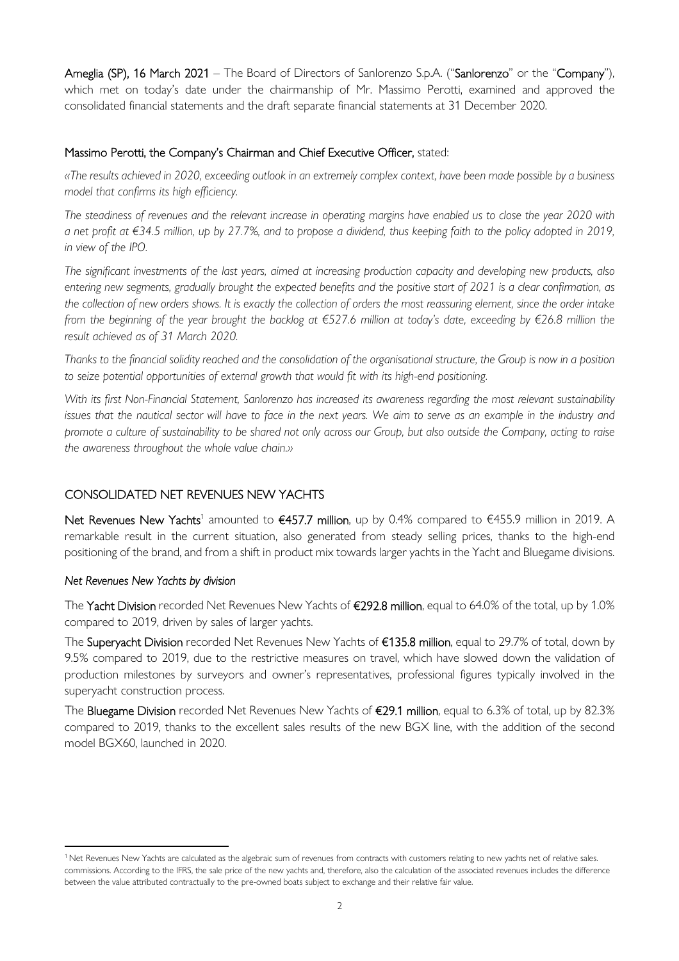Ameglia (SP), 16 March 2021 – The Board of Directors of Sanlorenzo S.p.A. ("Sanlorenzo" or the "Company"), which met on today's date under the chairmanship of Mr. Massimo Perotti, examined and approved the consolidated financial statements and the draft separate financial statements at 31 December 2020.

#### Massimo Perotti, the Company's Chairman and Chief Executive Officer, stated:

*«The results achieved in 2020, exceeding outlook in an extremely complex context, have been made possible by a business model that confirms its high efficiency.* 

*The steadiness of revenues and the relevant increase in operating margins have enabled us to close the year 2020 with a net profit at €34.5 million, up by 27.7%, and to propose a dividend, thus keeping faith to the policy adopted in 2019, in view of the IPO.* 

*The significant investments of the last years, aimed at increasing production capacity and developing new products, also entering new segments, gradually brought the expected benefits and the positive start of 2021 is a clear confirmation, as the collection of new orders shows. It is exactly the collection of orders the most reassuring element, since the order intake from the beginning of the year brought the backlog at €527.6 million at today's date, exceeding by €26.8 million the result achieved as of 31 March 2020.* 

*Thanks to the financial solidity reached and the consolidation of the organisational structure, the Group is now in a position to seize potential opportunities of external growth that would fit with its high-end positioning.* 

*With its first Non-Financial Statement, Sanlorenzo has increased its awareness regarding the most relevant sustainability issues that the nautical sector will have to face in the next years. We aim to serve as an example in the industry and promote a culture of sustainability to be shared not only across our Group, but also outside the Company, acting to raise the awareness throughout the whole value chain.»* 

#### CONSOLIDATED NET REVENUES NEW YACHTS

Net Revenues New Yachts<sup>1</sup> amounted to €457.7 million, up by 0.4% compared to €455.9 million in 2019. A remarkable result in the current situation, also generated from steady selling prices, thanks to the high-end positioning of the brand, and from a shift in product mix towards larger yachts in the Yacht and Bluegame divisions.

#### *Net Revenues New Yachts by division*

The Yacht Division recorded Net Revenues New Yachts of €292.8 million, equal to 64.0% of the total, up by 1.0% compared to 2019, driven by sales of larger yachts.

The Superyacht Division recorded Net Revenues New Yachts of €135.8 million, equal to 29.7% of total, down by 9.5% compared to 2019, due to the restrictive measures on travel, which have slowed down the validation of production milestones by surveyors and owner's representatives, professional figures typically involved in the superyacht construction process.

The Bluegame Division recorded Net Revenues New Yachts of €29.1 million, equal to 6.3% of total, up by 82.3% compared to 2019, thanks to the excellent sales results of the new BGX line, with the addition of the second model BGX60, launched in 2020.

<sup>&</sup>lt;sup>1</sup> Net Revenues New Yachts are calculated as the algebraic sum of revenues from contracts with customers relating to new yachts net of relative sales. commissions. According to the IFRS, the sale price of the new yachts and, therefore, also the calculation of the associated revenues includes the difference between the value attributed contractually to the pre-owned boats subject to exchange and their relative fair value.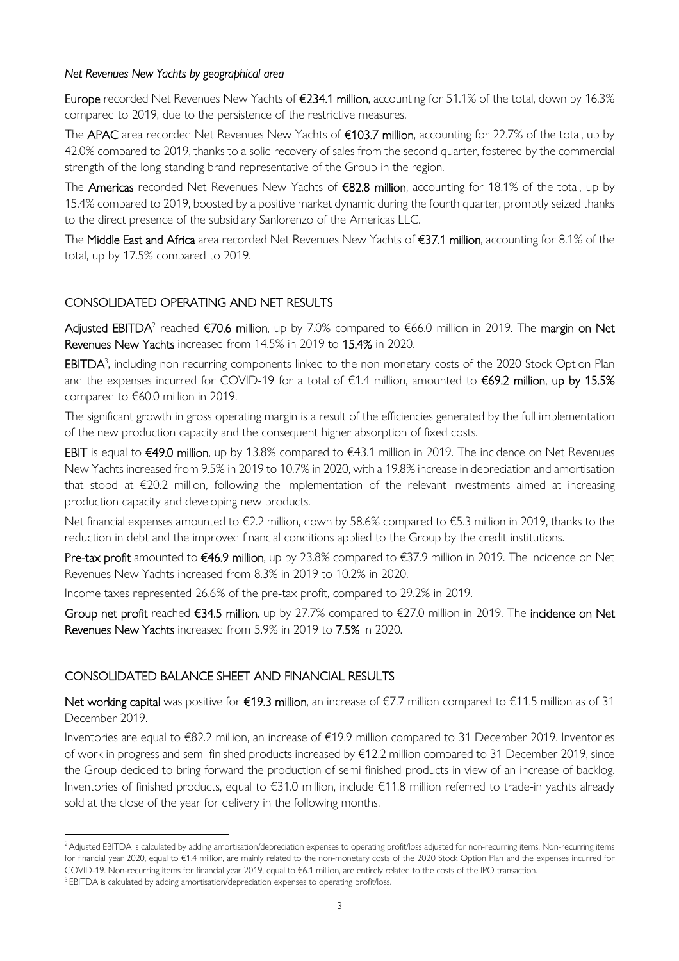#### *Net Revenues New Yachts by geographical area*

Europe recorded Net Revenues New Yachts of €234.1 million, accounting for 51.1% of the total, down by 16.3% compared to 2019, due to the persistence of the restrictive measures.

The APAC area recorded Net Revenues New Yachts of €103.7 million, accounting for 22.7% of the total, up by 42.0% compared to 2019, thanks to a solid recovery of sales from the second quarter, fostered by the commercial strength of the long-standing brand representative of the Group in the region.

The Americas recorded Net Revenues New Yachts of €82.8 million, accounting for 18.1% of the total, up by 15.4% compared to 2019, boosted by a positive market dynamic during the fourth quarter, promptly seized thanks to the direct presence of the subsidiary Sanlorenzo of the Americas LLC.

The Middle East and Africa area recorded Net Revenues New Yachts of €37.1 million, accounting for 8.1% of the total, up by 17.5% compared to 2019.

#### CONSOLIDATED OPERATING AND NET RESULTS

**Adjusted EBITDA**<sup>2</sup> reached €70.6 million, up by 7.0% compared to €66.0 million in 2019. The **margin on Net** Revenues New Yachts increased from 14.5% in 2019 to 15.4% in 2020.

EBITDA<sup>3</sup>, including non-recurring components linked to the non-monetary costs of the 2020 Stock Option Plan and the expenses incurred for COVID-19 for a total of €1.4 million, amounted to €69.2 million, up by 15.5% compared to €60.0 million in 2019.

The significant growth in gross operating margin is a result of the efficiencies generated by the full implementation of the new production capacity and the consequent higher absorption of fixed costs.

EBIT is equal to €49.0 million, up by 13.8% compared to €43.1 million in 2019. The incidence on Net Revenues New Yachts increased from 9.5% in 2019 to 10.7% in 2020, with a 19.8% increase in depreciation and amortisation that stood at €20.2 million, following the implementation of the relevant investments aimed at increasing production capacity and developing new products.

Net financial expenses amounted to €2.2 million, down by 58.6% compared to €5.3 million in 2019, thanks to the reduction in debt and the improved financial conditions applied to the Group by the credit institutions.

Pre-tax profit amounted to €46.9 million, up by 23.8% compared to €37.9 million in 2019. The incidence on Net Revenues New Yachts increased from 8.3% in 2019 to 10.2% in 2020.

Income taxes represented 26.6% of the pre-tax profit, compared to 29.2% in 2019.

Group net profit reached €34.5 million, up by 27.7% compared to €27.0 million in 2019. The incidence on Net Revenues New Yachts increased from 5.9% in 2019 to 7.5% in 2020.

#### CONSOLIDATED BALANCE SHEET AND FINANCIAL RESULTS

Net working capital was positive for €19.3 million, an increase of  $€7.7$  million compared to  $€11.5$  million as of 31 December 2019.

Inventories are equal to €82.2 million, an increase of €19.9 million compared to 31 December 2019. Inventories of work in progress and semi-finished products increased by €12.2 million compared to 31 December 2019, since the Group decided to bring forward the production of semi-finished products in view of an increase of backlog. Inventories of finished products, equal to €31.0 million, include €11.8 million referred to trade-in yachts already sold at the close of the year for delivery in the following months.

<sup>&</sup>lt;sup>2</sup> Adjusted EBITDA is calculated by adding amortisation/depreciation expenses to operating profit/loss adjusted for non-recurring items. Non-recurring items for financial year 2020, equal to €1.4 million, are mainly related to the non-monetary costs of the 2020 Stock Option Plan and the expenses incurred for COVID-19. Non-recurring items for financial year 2019, equal to €6.1 million, are entirely related to the costs of the IPO transaction.

<sup>&</sup>lt;sup>3</sup> EBITDA is calculated by adding amortisation/depreciation expenses to operating profit/loss.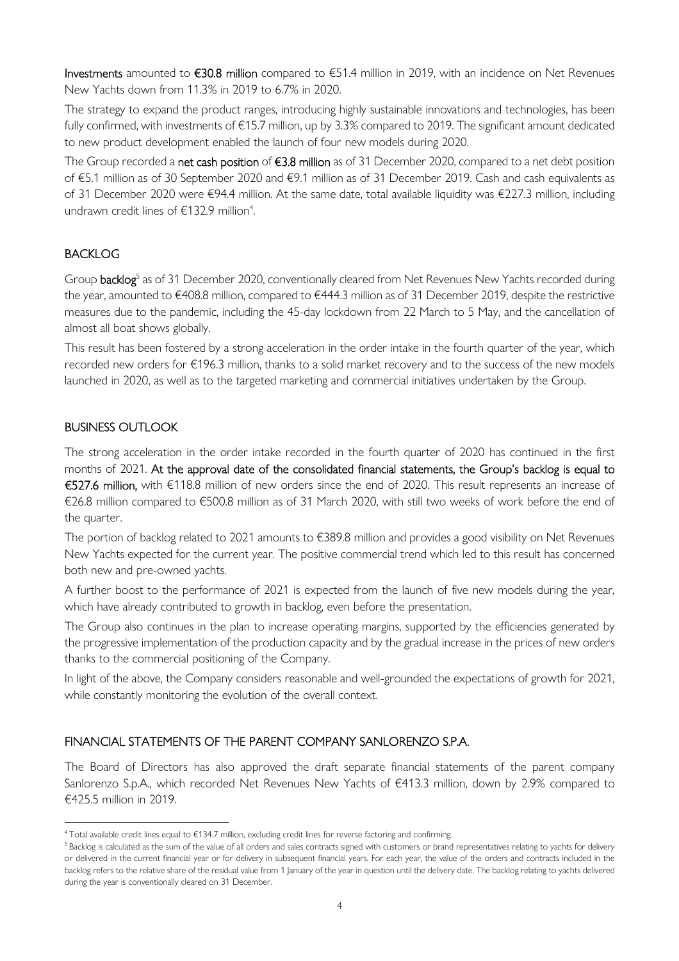Investments amounted to €30.8 million compared to €51.4 million in 2019, with an incidence on Net Revenues New Yachts down from 11.3% in 2019 to 6.7% in 2020.

The strategy to expand the product ranges, introducing highly sustainable innovations and technologies, has been fully confirmed, with investments of €15.7 million, up by 3.3% compared to 2019. The significant amount dedicated to new product development enabled the launch of four new models during 2020.

The Group recorded a net cash position of €3.8 million as of 31 December 2020, compared to a net debt position of €5.1 million as of 30 September 2020 and €9.1 million as of 31 December 2019. Cash and cash equivalents as of 31 December 2020 were €94.4 million. At the same date, total available liquidity was €227.3 million, including undrawn credit lines of  $\epsilon$ 132.9 million<sup>4</sup>.

### **BACKLOG**

Group backlog<sup>5</sup> as of 31 December 2020, conventionally cleared from Net Revenues New Yachts recorded during the year, amounted to €408.8 million, compared to €444.3 million as of 31 December 2019, despite the restrictive measures due to the pandemic, including the 45-day lockdown from 22 March to 5 May, and the cancellation of almost all boat shows globally.

This result has been fostered by a strong acceleration in the order intake in the fourth quarter of the year, which recorded new orders for €196.3 million, thanks to a solid market recovery and to the success of the new models launched in 2020, as well as to the targeted marketing and commercial initiatives undertaken by the Group.

### BUSINESS OUTLOOK

The strong acceleration in the order intake recorded in the fourth quarter of 2020 has continued in the first months of 2021. At the approval date of the consolidated financial statements, the Group's backlog is equal to €527.6 million, with €118.8 million of new orders since the end of 2020. This result represents an increase of €26.8 million compared to €500.8 million as of 31 March 2020, with still two weeks of work before the end of the quarter.

The portion of backlog related to 2021 amounts to €389.8 million and provides a good visibility on Net Revenues New Yachts expected for the current year. The positive commercial trend which led to this result has concerned both new and pre-owned yachts.

A further boost to the performance of 2021 is expected from the launch of five new models during the year, which have already contributed to growth in backlog, even before the presentation.

The Group also continues in the plan to increase operating margins, supported by the efficiencies generated by the progressive implementation of the production capacity and by the gradual increase in the prices of new orders thanks to the commercial positioning of the Company.

In light of the above, the Company considers reasonable and well-grounded the expectations of growth for 2021, while constantly monitoring the evolution of the overall context.

#### FINANCIAL STATEMENTS OF THE PARENT COMPANY SANLORENZO S.P.A.

The Board of Directors has also approved the draft separate financial statements of the parent company Sanlorenzo S.p.A., which recorded Net Revenues New Yachts of €413.3 million, down by 2.9% compared to €425.5 million in 2019.

<sup>4</sup>Total available credit lines equal to €134.7 million, excluding credit lines for reverse factoring and confirming.

<sup>&</sup>lt;sup>5</sup>Backlog is calculated as the sum of the value of all orders and sales contracts signed with customers or brand representatives relating to yachts for delivery or delivered in the current financial year or for delivery in subsequent financial years. For each year, the value of the orders and contracts included in the backlog refers to the relative share of the residual value from 1 January of the year in question until the delivery date. The backlog relating to yachts delivered during the year is conventionally cleared on 31 December.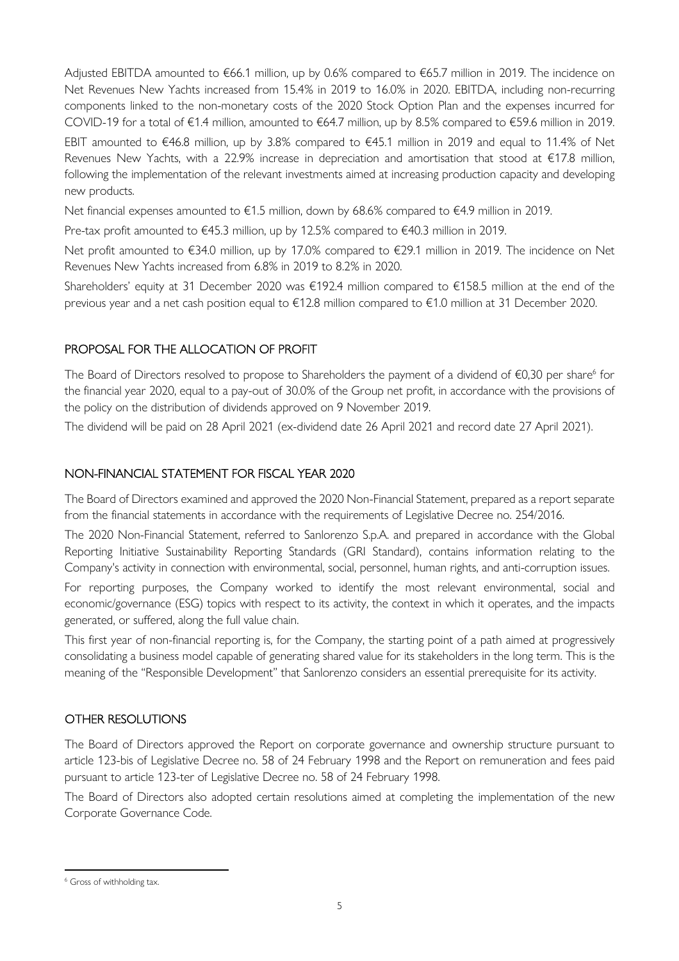Adjusted EBITDA amounted to €66.1 million, up by 0.6% compared to €65.7 million in 2019. The incidence on Net Revenues New Yachts increased from 15.4% in 2019 to 16.0% in 2020. EBITDA, including non-recurring components linked to the non-monetary costs of the 2020 Stock Option Plan and the expenses incurred for COVID-19 for a total of €1.4 million, amounted to €64.7 million, up by 8.5% compared to €59.6 million in 2019.

EBIT amounted to €46.8 million, up by 3.8% compared to €45.1 million in 2019 and equal to 11.4% of Net Revenues New Yachts, with a 22.9% increase in depreciation and amortisation that stood at €17.8 million, following the implementation of the relevant investments aimed at increasing production capacity and developing new products.

Net financial expenses amounted to €1.5 million, down by 68.6% compared to €4.9 million in 2019.

Pre-tax profit amounted to €45.3 million, up by 12.5% compared to €40.3 million in 2019.

Net profit amounted to €34.0 million, up by 17.0% compared to €29.1 million in 2019. The incidence on Net Revenues New Yachts increased from 6.8% in 2019 to 8.2% in 2020.

Shareholders' equity at 31 December 2020 was €192.4 million compared to €158.5 million at the end of the previous year and a net cash position equal to €12.8 million compared to €1.0 million at 31 December 2020.

### PROPOSAL FOR THE ALLOCATION OF PROFIT

The Board of Directors resolved to propose to Shareholders the payment of a dividend of  $\epsilon$ 0,30 per share<sup>6</sup> for the financial year 2020, equal to a pay-out of 30.0% of the Group net profit, in accordance with the provisions of the policy on the distribution of dividends approved on 9 November 2019.

The dividend will be paid on 28 April 2021 (ex-dividend date 26 April 2021 and record date 27 April 2021).

### NON-FINANCIAL STATEMENT FOR FISCAL YEAR 2020

The Board of Directors examined and approved the 2020 Non-Financial Statement, prepared as a report separate from the financial statements in accordance with the requirements of Legislative Decree no. 254/2016.

The 2020 Non-Financial Statement, referred to Sanlorenzo S.p.A. and prepared in accordance with the Global Reporting Initiative Sustainability Reporting Standards (GRI Standard), contains information relating to the Company's activity in connection with environmental, social, personnel, human rights, and anti-corruption issues.

For reporting purposes, the Company worked to identify the most relevant environmental, social and economic/governance (ESG) topics with respect to its activity, the context in which it operates, and the impacts generated, or suffered, along the full value chain.

This first year of non-financial reporting is, for the Company, the starting point of a path aimed at progressively consolidating a business model capable of generating shared value for its stakeholders in the long term. This is the meaning of the "Responsible Development" that Sanlorenzo considers an essential prerequisite for its activity.

#### OTHER RESOLUTIONS

The Board of Directors approved the Report on corporate governance and ownership structure pursuant to article 123-bis of Legislative Decree no. 58 of 24 February 1998 and the Report on remuneration and fees paid pursuant to article 123-ter of Legislative Decree no. 58 of 24 February 1998.

The Board of Directors also adopted certain resolutions aimed at completing the implementation of the new Corporate Governance Code.

<sup>&</sup>lt;sup>6</sup> Gross of withholding tax.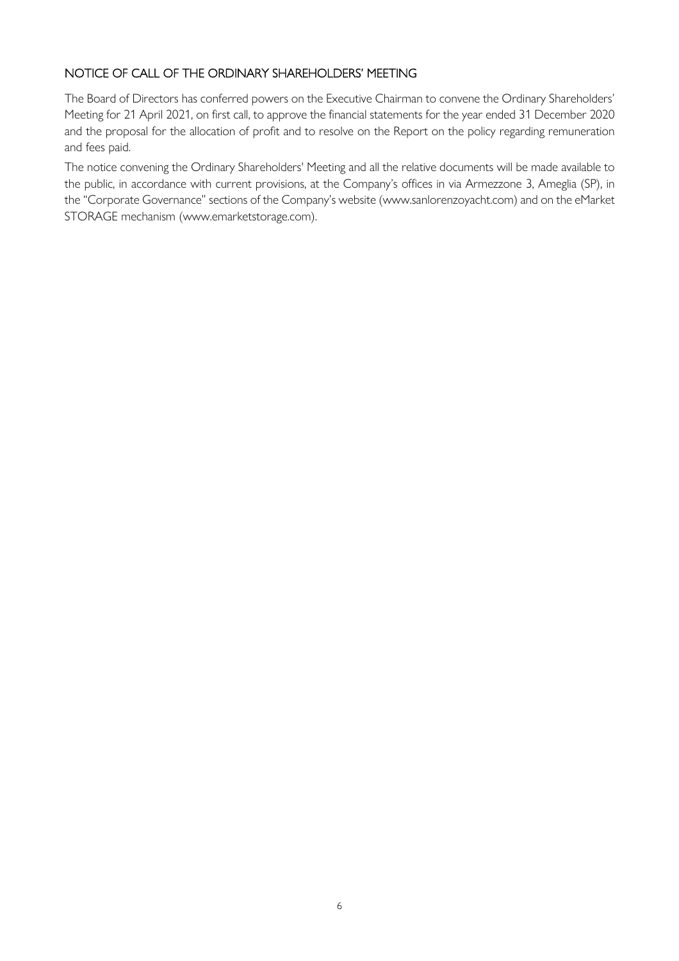### NOTICE OF CALL OF THE ORDINARY SHAREHOLDERS' MEETING

The Board of Directors has conferred powers on the Executive Chairman to convene the Ordinary Shareholders' Meeting for 21 April 2021, on first call, to approve the financial statements for the year ended 31 December 2020 and the proposal for the allocation of profit and to resolve on the Report on the policy regarding remuneration and fees paid.

The notice convening the Ordinary Shareholders' Meeting and all the relative documents will be made available to the public, in accordance with current provisions, at the Company's offices in via Armezzone 3, Ameglia (SP), in the "Corporate Governance" sections of the Company's website (www.sanlorenzoyacht.com) and on the eMarket STORAGE mechanism (www.emarketstorage.com).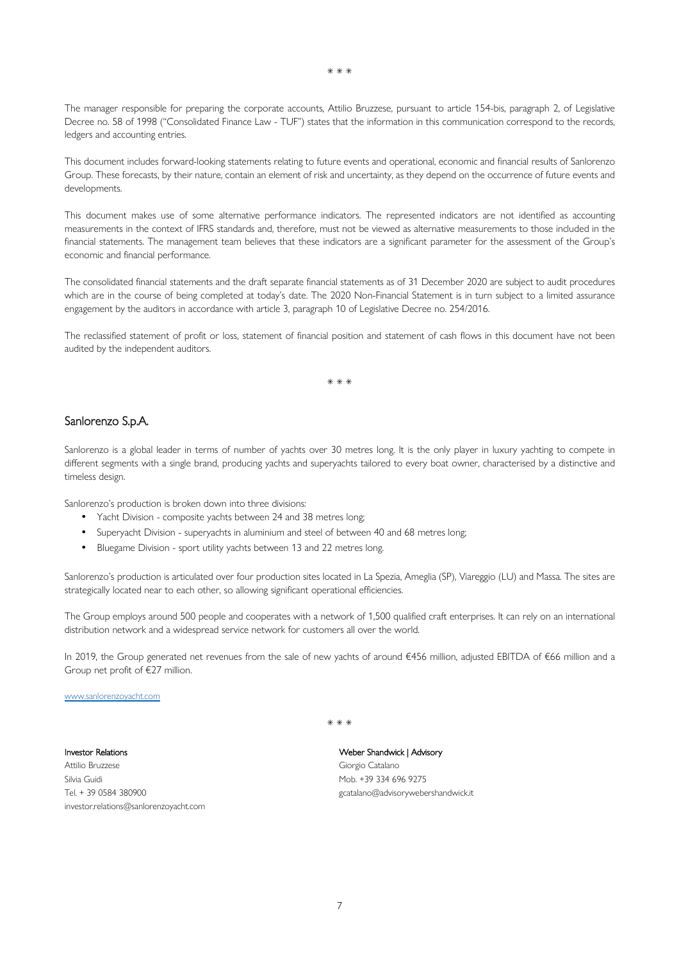The manager responsible for preparing the corporate accounts, Attilio Bruzzese, pursuant to article 154-bis, paragraph 2, of Legislative Decree no. 58 of 1998 ("Consolidated Finance Law - TUF") states that the information in this communication correspond to the records,

This document includes forward-looking statements relating to future events and operational, economic and financial results of Sanlorenzo Group. These forecasts, by their nature, contain an element of risk and uncertainty, as they depend on the occurrence of future events and developments.

This document makes use of some alternative performance indicators. The represented indicators are not identified as accounting measurements in the context of IFRS standards and, therefore, must not be viewed as alternative measurements to those included in the financial statements. The management team believes that these indicators are a significant parameter for the assessment of the Group's economic and financial performance.

The consolidated financial statements and the draft separate financial statements as of 31 December 2020 are subject to audit procedures which are in the course of being completed at today's date. The 2020 Non-Financial Statement is in turn subject to a limited assurance engagement by the auditors in accordance with article 3, paragraph 10 of Legislative Decree no. 254/2016.

The reclassified statement of profit or loss, statement of financial position and statement of cash flows in this document have not been audited by the independent auditors.

\* \* \*

#### Sanlorenzo S.p.A.

ledgers and accounting entries.

Sanlorenzo is a global leader in terms of number of yachts over 30 metres long. It is the only player in luxury yachting to compete in different segments with a single brand, producing yachts and superyachts tailored to every boat owner, characterised by a distinctive and timeless design.

Sanlorenzo's production is broken down into three divisions:

- Yacht Division composite yachts between 24 and 38 metres long;
- Superyacht Division superyachts in aluminium and steel of between 40 and 68 metres long;
- Bluegame Division sport utility yachts between 13 and 22 metres long.

Sanlorenzo's production is articulated over four production sites located in La Spezia, Ameglia (SP), Viareggio (LU) and Massa. The sites are strategically located near to each other, so allowing significant operational efficiencies.

The Group employs around 500 people and cooperates with a network of 1,500 qualified craft enterprises. It can rely on an international distribution network and a widespread service network for customers all over the world.

In 2019, the Group generated net revenues from the sale of new yachts of around €456 million, adjusted EBITDA of €66 million and a Group net profit of €27 million.

www.sanlorenzoyacht.com

Investor Relations Attilio Bruzzese Silvia Guidi Tel. + 39 0584 380900 investor.relations@sanlorenzoyacht.com \* \* \*

Weber Shandwick | Advisory Giorgio Catalano Mob. +39 334 696 9275 gcatalano@advisorywebershandwick.it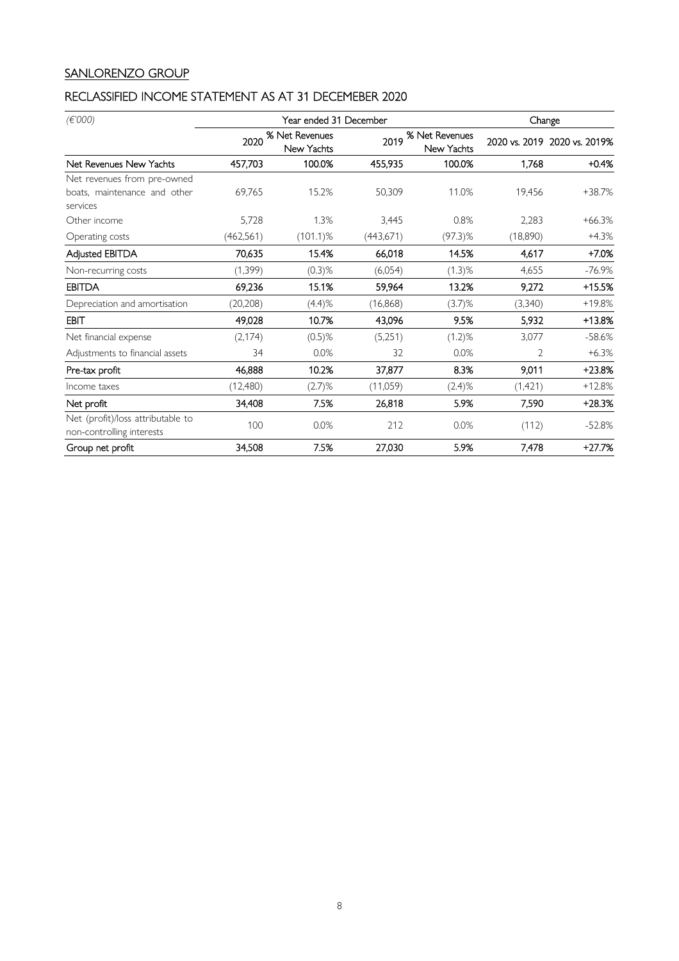# SANLORENZO GROUP

# RECLASSIFIED INCOME STATEMENT AS AT 31 DECEMEBER 2020

| (E'000)                                                        | Year ended 31 December |                              |            |                                     | Change         |                              |
|----------------------------------------------------------------|------------------------|------------------------------|------------|-------------------------------------|----------------|------------------------------|
|                                                                | 2020                   | % Net Revenues<br>New Yachts | 2019       | % Net Revenues<br><b>New Yachts</b> |                | 2020 vs. 2019 2020 vs. 2019% |
| Net Revenues New Yachts                                        | 457,703                | 100.0%                       | 455,935    | 100.0%                              | 1,768          | $+0.4%$                      |
| Net revenues from pre-owned                                    |                        |                              |            |                                     |                |                              |
| boats, maintenance and other<br>services                       | 69.765                 | 15.2%                        | 50,309     | 11.0%                               | 19.456         | +38.7%                       |
| Other income                                                   | 5,728                  | 1.3%                         | 3,445      | 0.8%                                | 2,283          | $+66.3%$                     |
| Operating costs                                                | (462, 561)             | $(101.1)\%$                  | (443, 671) | $(97.3)$ %                          | (18,890)       | $+4.3%$                      |
| Adjusted EBITDA                                                | 70,635                 | 15.4%                        | 66,018     | 14.5%                               | 4,617          | $+7.0%$                      |
| Non-recurring costs                                            | (1, 399)               | $(0.3)$ %                    | (6,054)    | $(1.3)$ %                           | 4,655          | $-76.9%$                     |
| <b>EBITDA</b>                                                  | 69,236                 | 15.1%                        | 59,964     | 13.2%                               | 9,272          | +15.5%                       |
| Depreciation and amortisation                                  | (20, 208)              | (4.4)%                       | (16,868)   | $(3.7)$ %                           | (3,340)        | $+19.8%$                     |
| EBIT                                                           | 49,028                 | 10.7%                        | 43,096     | 9.5%                                | 5,932          | +13.8%                       |
| Net financial expense                                          | (2, 174)               | $(0.5)$ %                    | (5,251)    | $(1.2)$ %                           | 3,077          | $-58.6%$                     |
| Adjustments to financial assets                                | 34                     | 0.0%                         | 32         | 0.0%                                | $\overline{2}$ | $+6.3%$                      |
| Pre-tax profit                                                 | 46,888                 | 10.2%                        | 37,877     | 8.3%                                | 9,011          | +23.8%                       |
| Income taxes                                                   | (12, 480)              | $(2.7)$ %                    | (11,059)   | $(2.4)$ %                           | (1, 421)       | $+12.8%$                     |
| Net profit                                                     | 34,408                 | 7.5%                         | 26,818     | 5.9%                                | 7,590          | +28.3%                       |
| Net (profit)/loss attributable to<br>non-controlling interests | 100                    | 0.0%                         | 212        | 0.0%                                | (112)          | $-52.8%$                     |
| Group net profit                                               | 34,508                 | 7.5%                         | 27,030     | 5.9%                                | 7,478          | $+27.7%$                     |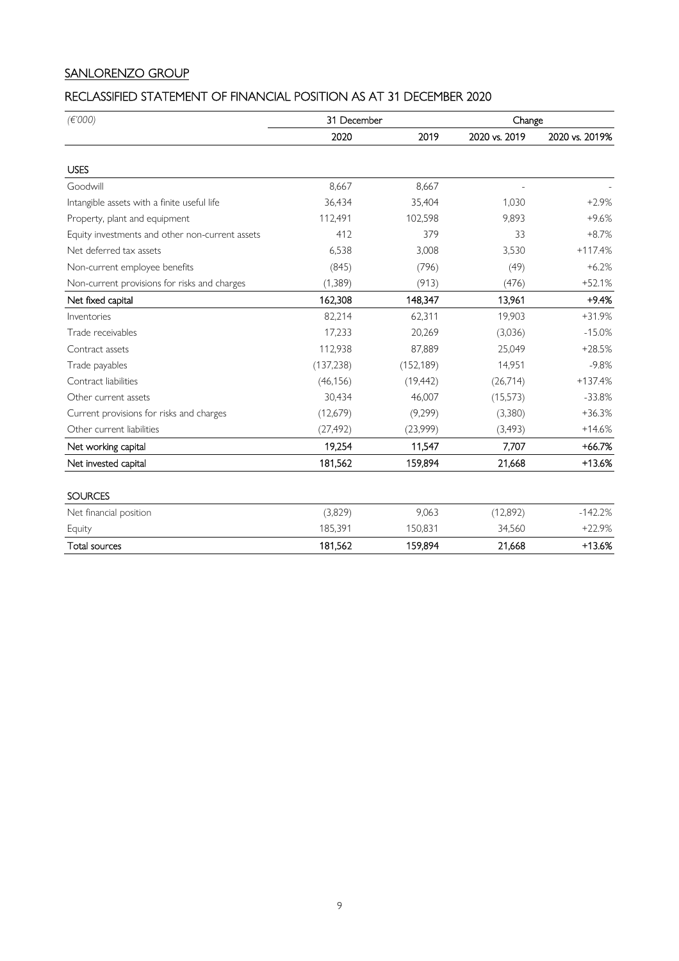# SANLORENZO GROUP

# RECLASSIFIED STATEMENT OF FINANCIAL POSITION AS AT 31 DECEMBER 2020

| (E'000)                                         | 31 December |            | Change        |                |
|-------------------------------------------------|-------------|------------|---------------|----------------|
|                                                 | 2020        | 2019       | 2020 vs. 2019 | 2020 vs. 2019% |
|                                                 |             |            |               |                |
| <b>USES</b>                                     |             |            |               |                |
| Goodwill                                        | 8,667       | 8,667      |               |                |
| Intangible assets with a finite useful life     | 36,434      | 35,404     | 1.030         | $+2.9%$        |
| Property, plant and equipment                   | 112,491     | 102,598    | 9,893         | $+9.6%$        |
| Equity investments and other non-current assets | 412         | 379        | 33            | $+8.7%$        |
| Net deferred tax assets                         | 6,538       | 3,008      | 3,530         | $+117.4%$      |
| Non-current employee benefits                   | (845)       | (796)      | (49)          | $+6.2%$        |
| Non-current provisions for risks and charges    | (1, 389)    | (913)      | (476)         | $+52.1%$       |
| Net fixed capital                               | 162,308     | 148,347    | 13,961        | $+9.4%$        |
| Inventories                                     | 82,214      | 62,311     | 19,903        | $+31.9%$       |
| Trade receivables                               | 17,233      | 20,269     | (3,036)       | $-15.0%$       |
| Contract assets                                 | 112,938     | 87,889     | 25,049        | $+28.5%$       |
| Trade payables                                  | (137, 238)  | (152, 189) | 14,951        | $-9.8%$        |
| Contract liabilities                            | (46, 156)   | (19, 442)  | (26,714)      | $+137.4%$      |
| Other current assets                            | 30,434      | 46,007     | (15, 573)     | $-33.8%$       |
| Current provisions for risks and charges        | (12,679)    | (9,299)    | (3,380)       | $+36.3%$       |
| Other current liabilities                       | (27, 492)   | (23,999)   | (3, 493)      | $+14.6%$       |
| Net working capital                             | 19,254      | 11,547     | 7,707         | $+66.7%$       |
| Net invested capital                            | 181,562     | 159,894    | 21,668        | $+13.6%$       |
| <b>SOURCES</b>                                  |             |            |               |                |
| Net financial position                          | (3,829)     | 9,063      | (12,892)      | $-142.2%$      |
| Equity                                          | 185,391     | 150,831    | 34,560        | $+22.9%$       |
| Total sources                                   | 181,562     | 159,894    | 21,668        | $+13.6%$       |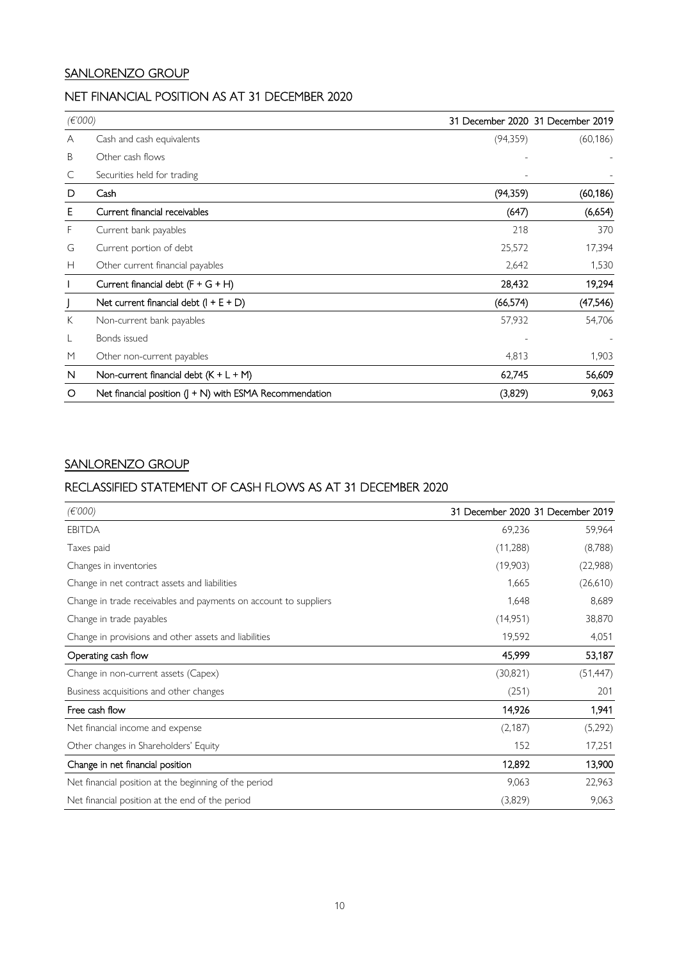### SANLORENZO GROUP

# NET FINANCIAL POSITION AS AT 31 DECEMBER 2020

| (E'000) |                                                          |           | 31 December 2020 31 December 2019 |
|---------|----------------------------------------------------------|-----------|-----------------------------------|
| A       | Cash and cash equivalents                                | (94,359)  | (60, 186)                         |
| B       | Other cash flows                                         |           |                                   |
| C       | Securities held for trading                              |           |                                   |
| D       | Cash                                                     | (94, 359) | (60, 186)                         |
| Е       | Current financial receivables                            | (647)     | (6,654)                           |
| F.      | Current bank payables                                    | 218       | 370                               |
| G       | Current portion of debt                                  | 25,572    | 17,394                            |
| Н       | Other current financial payables                         | 2,642     | 1,530                             |
|         | Current financial debt $(F + G + H)$                     | 28,432    | 19,294                            |
|         | Net current financial debt $(I + E + D)$                 | (66, 574) | (47,546)                          |
| К       | Non-current bank payables                                | 57,932    | 54,706                            |
|         | Bonds issued                                             |           |                                   |
| M       | Other non-current payables                               | 4,813     | 1,903                             |
| N       | Non-current financial debt $(K + L + M)$                 | 62,745    | 56,609                            |
| O       | Net financial position $($ + N) with ESMA Recommendation | (3,829)   | 9,063                             |

### SANLORENZO GROUP

#### RECLASSIFIED STATEMENT OF CASH FLOWS AS AT 31 DECEMBER 2020

| (E'000)                                                          | 31 December 2020 31 December 2019 |           |
|------------------------------------------------------------------|-----------------------------------|-----------|
| <b>EBITDA</b>                                                    | 69,236                            | 59,964    |
| Taxes paid                                                       | (11,288)                          | (8,788)   |
| Changes in inventories                                           | (19,903)                          | (22,988)  |
| Change in net contract assets and liabilities                    | 1,665                             | (26,610)  |
| Change in trade receivables and payments on account to suppliers | 1,648                             | 8,689     |
| Change in trade payables                                         | (14,951)                          | 38,870    |
| Change in provisions and other assets and liabilities            | 19,592                            | 4,051     |
| Operating cash flow                                              | 45,999                            | 53,187    |
| Change in non-current assets (Capex)                             | (30, 821)                         | (51, 447) |
| Business acquisitions and other changes                          | (251)                             | 201       |
| Free cash flow                                                   | 14,926                            | 1,941     |
| Net financial income and expense                                 | (2, 187)                          | (5,292)   |
| Other changes in Shareholders' Equity                            | 152                               | 17,251    |
| Change in net financial position                                 | 12,892                            | 13,900    |
| Net financial position at the beginning of the period            | 9,063                             | 22,963    |
| Net financial position at the end of the period                  | (3,829)                           | 9,063     |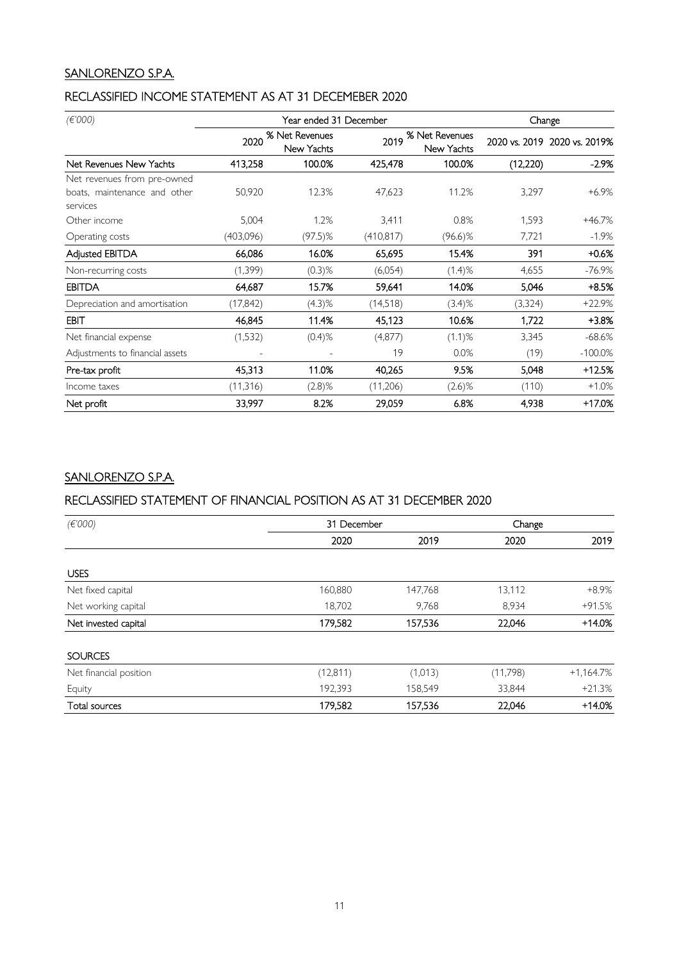### SANLORENZO S.P.A.

### RECLASSIFIED INCOME STATEMENT AS AT 31 DECEMEBER 2020

| (E'000)                                  |                          | Year ended 31 December       |            |                              | Change   |                              |
|------------------------------------------|--------------------------|------------------------------|------------|------------------------------|----------|------------------------------|
|                                          | 2020                     | % Net Revenues<br>New Yachts | 2019       | % Net Revenues<br>New Yachts |          | 2020 vs. 2019 2020 vs. 2019% |
| Net Revenues New Yachts                  | 413,258                  | 100.0%                       | 425,478    | 100.0%                       | (12,220) | -2.9%                        |
| Net revenues from pre-owned              |                          |                              |            |                              |          |                              |
| boats, maintenance and other<br>services | 50,920                   | 12.3%                        | 47,623     | 11.2%                        | 3,297    | $+6.9%$                      |
| Other income                             | 5,004                    | 1.2%                         | 3,411      | 0.8%                         | 1,593    | $+46.7%$                     |
| Operating costs                          | (403,096)                | $(97.5)$ %                   | (410, 817) | $(96.6)\%$                   | 7,721    | $-1.9\%$                     |
| Adjusted EBITDA                          | 66,086                   | 16.0%                        | 65,695     | 15.4%                        | 391      | +0.6%                        |
| Non-recurring costs                      | (1, 399)                 | $(0.3)$ %                    | (6,054)    | $(1.4)$ %                    | 4,655    | $-76.9%$                     |
| <b>EBITDA</b>                            | 64,687                   | 15.7%                        | 59,641     | 14.0%                        | 5,046    | +8.5%                        |
| Depreciation and amortisation            | (17, 842)                | $(4.3)$ %                    | (14,518)   | $(3.4)$ %                    | (3, 324) | $+22.9%$                     |
| <b>EBIT</b>                              | 46,845                   | 11.4%                        | 45,123     | 10.6%                        | 1,722    | +3.8%                        |
| Net financial expense                    | (1,532)                  | $(0.4)$ %                    | (4, 877)   | $(1.1)$ %                    | 3,345    | $-68.6%$                     |
| Adjustments to financial assets          | $\overline{\phantom{a}}$ |                              | 19         | 0.0%                         | (19)     | $-100.0%$                    |
| Pre-tax profit                           | 45,313                   | 11.0%                        | 40,265     | 9.5%                         | 5,048    | +12.5%                       |
| Income taxes                             | (11, 316)                | $(2.8)$ %                    | (11,206)   | $(2.6)$ %                    | (110)    | $+1.0%$                      |
| Net profit                               | 33,997                   | 8.2%                         | 29,059     | 6.8%                         | 4,938    | +17.0%                       |

# SANLORENZO S.P.A.

# RECLASSIFIED STATEMENT OF FINANCIAL POSITION AS AT 31 DECEMBER 2020

| (E'000)                | 31 December |         | Change   |              |
|------------------------|-------------|---------|----------|--------------|
|                        | 2020        | 2019    | 2020     | 2019         |
|                        |             |         |          |              |
| <b>USES</b>            |             |         |          |              |
| Net fixed capital      | 160,880     | 147,768 | 13,112   | $+8.9%$      |
| Net working capital    | 18,702      | 9,768   | 8,934    | $+91.5%$     |
| Net invested capital   | 179,582     | 157,536 | 22,046   | $+14.0%$     |
| <b>SOURCES</b>         |             |         |          |              |
| Net financial position | (12, 811)   | (1,013) | (11,798) | $+1,164.7\%$ |
| Equity                 | 192,393     | 158,549 | 33,844   | $+21.3%$     |
| <b>Total sources</b>   | 179,582     | 157,536 | 22,046   | $+14.0%$     |